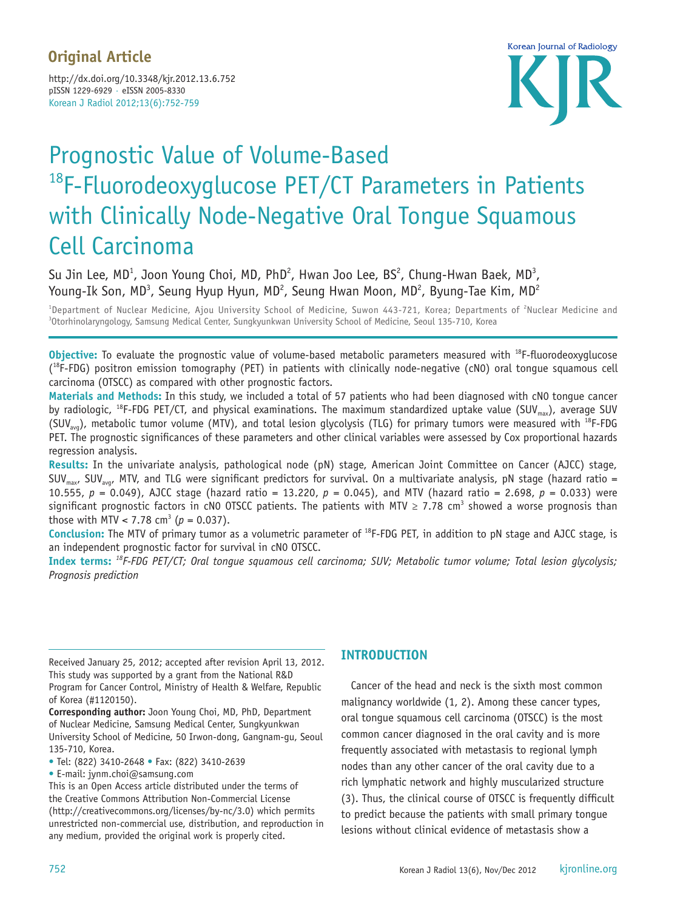### **Original Article**

Korean J Radiol 2012;13(6):752-759 http://dx.doi.org/10.3348/kjr.2012.13.6.752 pISSN 1229-6929 · eISSN 2005-8330



## Prognostic Value of Volume-Based <sup>18</sup>F-Fluorodeoxyglucose PET/CT Parameters in Patients with Clinically Node-Negative Oral Tongue Squamous Cell Carcinoma

Su Jin Lee, MD<sup>1</sup>, Joon Young Choi, MD, PhD<sup>2</sup>, Hwan Joo Lee, BS<sup>2</sup>, Chung-Hwan Baek, MD<sup>3</sup>, Young-Ik Son, MD<sup>3</sup>, Seung Hyup Hyun, MD<sup>2</sup>, Seung Hwan Moon, MD<sup>2</sup>, Byung-Tae Kim, MD<sup>2</sup>

<sup>1</sup>Department of Nuclear Medicine, Ajou University School of Medicine, Suwon 443-721, Korea; Departments of <sup>2</sup>Nuclear Medicine and<br><sup>3</sup>Otorbinolaryngology Samsung Medical Center Sungkyunkyan University School of Medicine, <sup>3</sup>Otorhinolaryngology, Samsung Medical Center, Sungkyunkwan University School of Medicine, Seoul 135-710, Korea

**Objective:** To evaluate the prognostic value of volume-based metabolic parameters measured with <sup>18</sup>F-fluorodeoxyglucose (<sup>18</sup>F-FDG) positron emission tomography (PET) in patients with clinically node-negative (cN0) oral tongue squamous cell carcinoma (OTSCC) as compared with other prognostic factors.

**Materials and Methods:** In this study, we included a total of 57 patients who had been diagnosed with cN0 tongue cancer by radiologic, <sup>18</sup>F-FDG PET/CT, and physical examinations. The maximum standardized uptake value (SUV<sub>max</sub>), average SUV (SUV<sub>avg</sub>), metabolic tumor volume (MTV), and total lesion glycolysis (TLG) for primary tumors were measured with <sup>18</sup>F-FDG PET. The prognostic significances of these parameters and other clinical variables were assessed by Cox proportional hazards regression analysis.

**Results:** In the univariate analysis, pathological node (pN) stage, American Joint Committee on Cancer (AJCC) stage, SUV<sub>max</sub>, SUV<sub>avg</sub>, MTV, and TLG were significant predictors for survival. On a multivariate analysis, pN stage (hazard ratio = 10.555, *p* = 0.049), AJCC stage (hazard ratio = 13.220, *p* = 0.045), and MTV (hazard ratio = 2.698, *p* = 0.033) were significant prognostic factors in cN0 OTSCC patients. The patients with MTV  $\geq$  7.78 cm<sup>3</sup> showed a worse prognosis than those with MTV < 7.78 cm<sup>3</sup> ( $p = 0.037$ ).

**Conclusion:** The MTV of primary tumor as a volumetric parameter of 18F-FDG PET, in addition to pN stage and AJCC stage, is an independent prognostic factor for survival in cN0 OTSCC.

**Index terms:** *18F-FDG PET/CT; Oral tongue squamous cell carcinoma; SUV; Metabolic tumor volume; Total lesion glycolysis; Prognosis prediction*

Received January 25, 2012; accepted after revision April 13, 2012. This study was supported by a grant from the National R&D Program for Cancer Control, Ministry of Health & Welfare, Republic of Korea (#1120150).

**Corresponding author:** Joon Young Choi, MD, PhD, Department of Nuclear Medicine, Samsung Medical Center, Sungkyunkwan University School of Medicine, 50 Irwon-dong, Gangnam-gu, Seoul 135-710, Korea.

• Tel: (822) 3410-2648 • Fax: (822) 3410-2639

• E-mail: jynm.choi@samsung.com

This is an Open Access article distributed under the terms of the Creative Commons Attribution Non-Commercial License (http://creativecommons.org/licenses/by-nc/3.0) which permits unrestricted non-commercial use, distribution, and reproduction in any medium, provided the original work is properly cited.

#### **INTRODUCTION**

Cancer of the head and neck is the sixth most common malignancy worldwide (1, 2). Among these cancer types, oral tongue squamous cell carcinoma (OTSCC) is the most common cancer diagnosed in the oral cavity and is more frequently associated with metastasis to regional lymph nodes than any other cancer of the oral cavity due to a rich lymphatic network and highly muscularized structure (3). Thus, the clinical course of OTSCC is frequently difficult to predict because the patients with small primary tongue lesions without clinical evidence of metastasis show a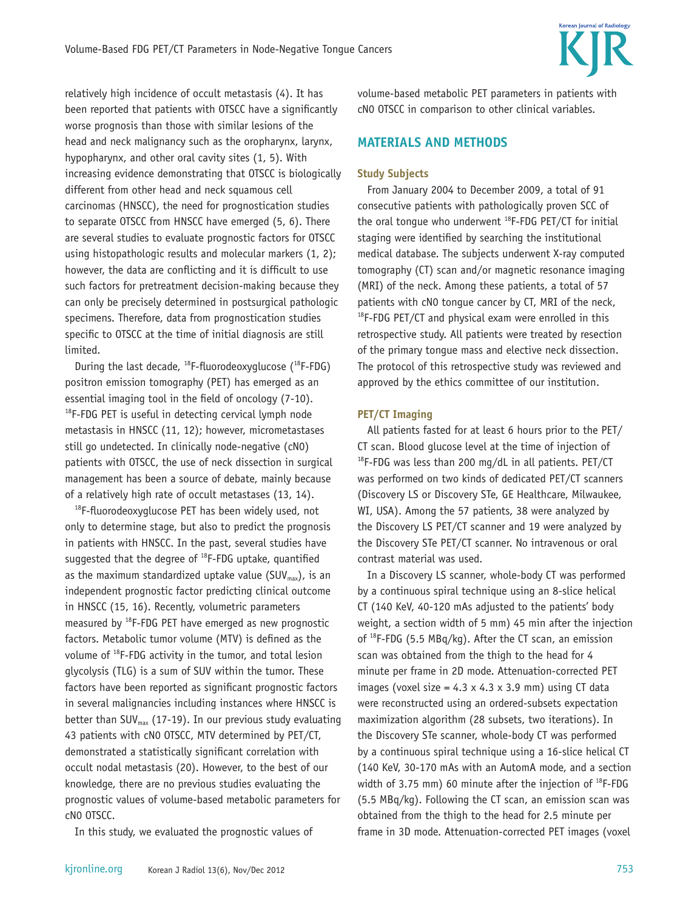

relatively high incidence of occult metastasis (4). It has been reported that patients with OTSCC have a significantly worse prognosis than those with similar lesions of the head and neck malignancy such as the oropharynx, larynx, hypopharynx, and other oral cavity sites (1, 5). With increasing evidence demonstrating that OTSCC is biologically different from other head and neck squamous cell carcinomas (HNSCC), the need for prognostication studies to separate OTSCC from HNSCC have emerged (5, 6). There are several studies to evaluate prognostic factors for OTSCC using histopathologic results and molecular markers (1, 2); however, the data are conflicting and it is difficult to use such factors for pretreatment decision-making because they can only be precisely determined in postsurgical pathologic specimens. Therefore, data from prognostication studies specific to OTSCC at the time of initial diagnosis are still limited.

During the last decade,  $^{18}$ F-fluorodeoxyglucose ( $^{18}$ F-FDG) positron emission tomography (PET) has emerged as an essential imaging tool in the field of oncology (7-10). <sup>18</sup>F-FDG PET is useful in detecting cervical lymph node metastasis in HNSCC (11, 12); however, micrometastases still go undetected. In clinically node-negative (cN0) patients with OTSCC, the use of neck dissection in surgical management has been a source of debate, mainly because of a relatively high rate of occult metastases (13, 14).

 $18$ F-fluorodeoxyglucose PET has been widely used, not only to determine stage, but also to predict the prognosis in patients with HNSCC. In the past, several studies have suggested that the degree of  $^{18}$ F-FDG uptake, quantified as the maximum standardized uptake value (SUV<sub>max</sub>), is an independent prognostic factor predicting clinical outcome in HNSCC (15, 16). Recently, volumetric parameters measured by  $^{18}$ F-FDG PET have emerged as new prognostic factors. Metabolic tumor volume (MTV) is defined as the volume of 18F-FDG activity in the tumor, and total lesion glycolysis (TLG) is a sum of SUV within the tumor. These factors have been reported as significant prognostic factors in several malignancies including instances where HNSCC is better than SUV $_{\text{max}}$  (17-19). In our previous study evaluating 43 patients with cN0 OTSCC, MTV determined by PET/CT, demonstrated a statistically significant correlation with occult nodal metastasis (20). However, to the best of our knowledge, there are no previous studies evaluating the prognostic values of volume-based metabolic parameters for cN0 OTSCC.

In this study, we evaluated the prognostic values of

#### **MATERIALS AND METHODS**

#### **Study Subjects**

From January 2004 to December 2009, a total of 91 consecutive patients with pathologically proven SCC of the oral tonque who underwent  $^{18}$ F-FDG PET/CT for initial staging were identified by searching the institutional medical database. The subjects underwent X-ray computed tomography (CT) scan and/or magnetic resonance imaging (MRI) of the neck. Among these patients, a total of 57 patients with cN0 tongue cancer by CT, MRI of the neck,  $18$ F-FDG PET/CT and physical exam were enrolled in this retrospective study. All patients were treated by resection of the primary tongue mass and elective neck dissection. The protocol of this retrospective study was reviewed and approved by the ethics committee of our institution.

#### **PET/CT Imaging**

All patients fasted for at least 6 hours prior to the PET/ CT scan. Blood glucose level at the time of injection of  $18$ F-FDG was less than 200 mg/dL in all patients. PET/CT was performed on two kinds of dedicated PET/CT scanners (Discovery LS or Discovery STe, GE Healthcare, Milwaukee, WI, USA). Among the 57 patients, 38 were analyzed by the Discovery LS PET/CT scanner and 19 were analyzed by the Discovery STe PET/CT scanner. No intravenous or oral contrast material was used.

In a Discovery LS scanner, whole-body CT was performed by a continuous spiral technique using an 8-slice helical CT (140 KeV, 40-120 mAs adjusted to the patients' body weight, a section width of 5 mm) 45 min after the injection of 18F-FDG (5.5 MBq/kg). After the CT scan, an emission scan was obtained from the thigh to the head for 4 minute per frame in 2D mode. Attenuation-corrected PET images (voxel size =  $4.3 \times 4.3 \times 3.9$  mm) using CT data were reconstructed using an ordered-subsets expectation maximization algorithm (28 subsets, two iterations). In the Discovery STe scanner, whole-body CT was performed by a continuous spiral technique using a 16-slice helical CT (140 KeV, 30-170 mAs with an AutomA mode, and a section width of 3.75 mm) 60 minute after the injection of  $^{18}F$ -FDG (5.5 MBq/kg). Following the CT scan, an emission scan was obtained from the thigh to the head for 2.5 minute per frame in 3D mode. Attenuation-corrected PET images (voxel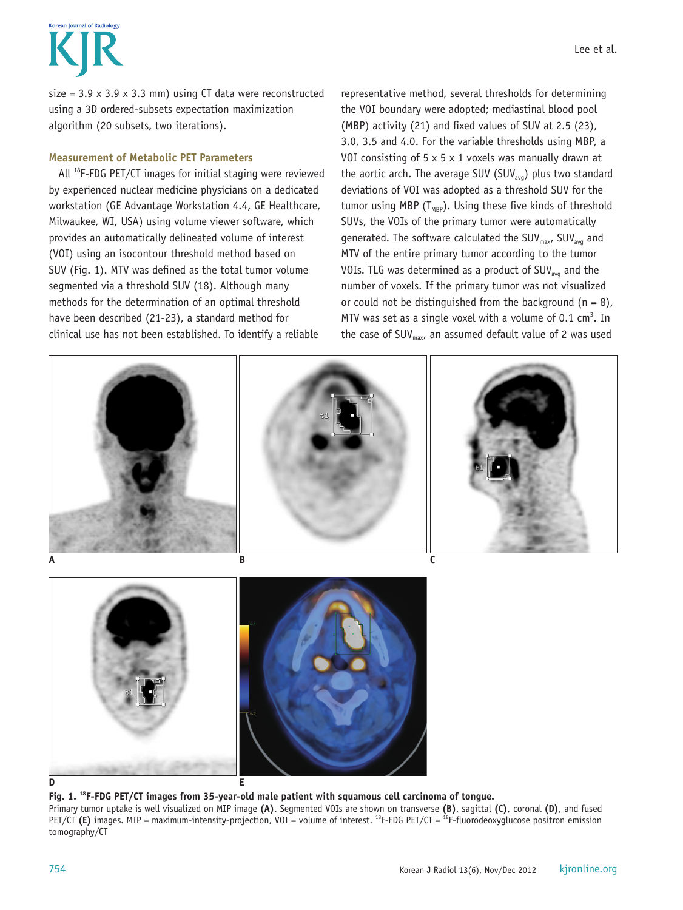# Korean Journal of Radiology

size =  $3.9 \times 3.9 \times 3.3$  mm) using CT data were reconstructed using a 3D ordered-subsets expectation maximization algorithm (20 subsets, two iterations).

#### **Measurement of Metabolic PET Parameters**

All 18F-FDG PET/CT images for initial staging were reviewed by experienced nuclear medicine physicians on a dedicated workstation (GE Advantage Workstation 4.4, GE Healthcare, Milwaukee, WI, USA) using volume viewer software, which provides an automatically delineated volume of interest (VOI) using an isocontour threshold method based on SUV (Fig. 1). MTV was defined as the total tumor volume segmented via a threshold SUV (18). Although many methods for the determination of an optimal threshold have been described (21-23), a standard method for clinical use has not been established. To identify a reliable

Lee et al.

the VOI boundary were adopted; mediastinal blood pool (MBP) activity (21) and fixed values of SUV at 2.5 (23), 3.0, 3.5 and 4.0. For the variable thresholds using MBP, a VOI consisting of  $5 \times 5 \times 1$  voxels was manually drawn at the aortic arch. The average SUV (SUV<sub>avq</sub>) plus two standard deviations of VOI was adopted as a threshold SUV for the tumor using MBP ( $T_{MBP}$ ). Using these five kinds of threshold SUVs, the VOIs of the primary tumor were automatically generated. The software calculated the SUV $_{max}$ , SUV $_{avg}$  and MTV of the entire primary tumor according to the tumor VOIs. TLG was determined as a product of  $\text{SUV}_{\text{avg}}$  and the number of voxels. If the primary tumor was not visualized or could not be distinguished from the background  $(n = 8)$ , MTV was set as a single voxel with a volume of  $0.1 \text{ cm}^3$ . In the case of SUV $_{max}$ , an assumed default value of 2 was used



**Fig. 1. 18F-FDG PET/CT images from 35-year-old male patient with squamous cell carcinoma of tongue.**  Primary tumor uptake is well visualized on MIP image **(A)**. Segmented VOIs are shown on transverse **(B)**, sagittal **(C)**, coronal **(D)**, and fused PET/CT (E) images. MIP = maximum-intensity-projection, VOI = volume of interest. <sup>18</sup>F-FDG PET/CT = <sup>18</sup>F-fluorodeoxyglucose positron emission tomography/CT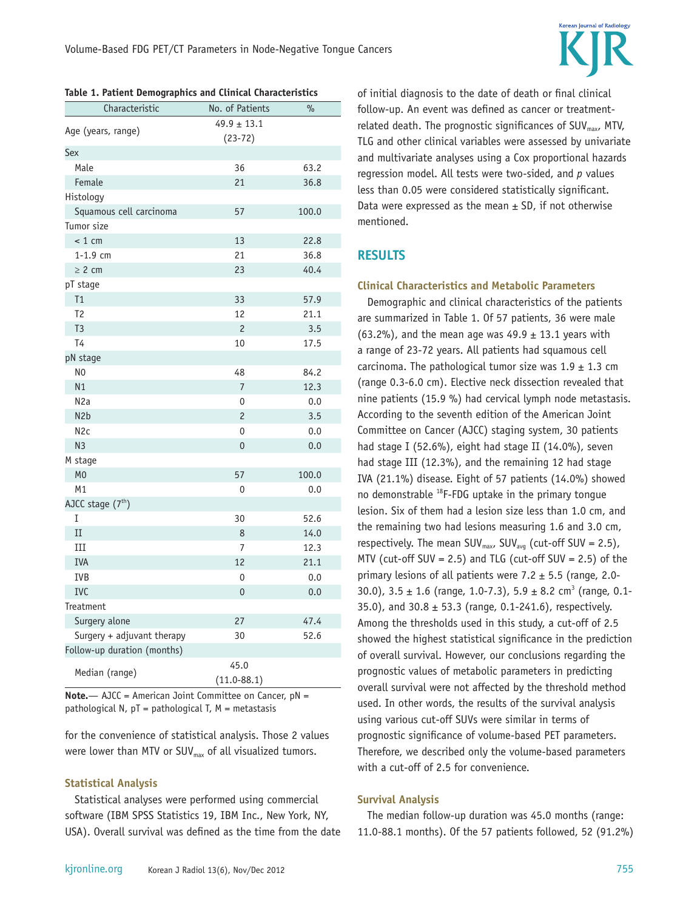

| Characteristic              | No. of Patients         | $\%$  |
|-----------------------------|-------------------------|-------|
| Age (years, range)          | $49.9 \pm 13.1$         |       |
|                             | $(23-72)$               |       |
| Sex<br>Male                 |                         |       |
|                             | 36                      | 63.2  |
| Female                      | 21                      | 36.8  |
| Histology                   |                         |       |
| Squamous cell carcinoma     | 57                      | 100.0 |
| Tumor size                  |                         |       |
| < 1 cm                      | 13                      | 22.8  |
| $1 - 1.9$ cm                | 21                      | 36.8  |
| $\geq 2$ cm                 | 23                      | 40.4  |
| pT stage                    |                         |       |
| T1                          | 33                      | 57.9  |
| T <sub>2</sub>              | 12                      | 21.1  |
| T <sub>3</sub>              | $\overline{c}$          | 3.5   |
| T4                          | 10                      | 17.5  |
| pN stage                    |                         |       |
| N <sub>0</sub>              | 48                      | 84.2  |
| N1                          | $\overline{7}$          | 12.3  |
| N <sub>2</sub> a            | 0                       | 0.0   |
| N <sub>2</sub> b            | $\overline{c}$          | 3.5   |
| N <sub>2c</sub>             | 0                       | 0.0   |
| N <sub>3</sub>              | 0                       | 0.0   |
| M stage                     |                         |       |
| M <sub>0</sub>              | 57                      | 100.0 |
| M1                          | 0                       | 0.0   |
| AJCC stage $(7th)$          |                         |       |
| Ι                           | 30                      | 52.6  |
| II                          | 8                       | 14.0  |
| III                         | 7                       | 12.3  |
| <b>IVA</b>                  | 12                      | 21.1  |
| <b>IVB</b>                  | 0                       | 0.0   |
| <b>IVC</b>                  | 0                       | 0.0   |
| Treatment                   |                         |       |
| Surgery alone               | 27                      | 47.4  |
| Surgery + adjuvant therapy  | 30                      | 52.6  |
| Follow-up duration (months) |                         |       |
|                             |                         |       |
| Median (range)              | 45.0<br>$(11.0 - 88.1)$ |       |

**Table 1. Patient Demographics and Clinical Characteristics**

**Note.**— AJCC = American Joint Committee on Cancer, pN = pathological N,  $pT =$  pathological T,  $M =$  metastasis

for the convenience of statistical analysis. Those 2 values were lower than MTV or  $\textsf{SUV}_\textsf{max}$  of all visualized tumors.

#### **Statistical Analysis**

Statistical analyses were performed using commercial software (IBM SPSS Statistics 19, IBM Inc., New York, NY, USA). Overall survival was defined as the time from the date of initial diagnosis to the date of death or final clinical follow-up. An event was defined as cancer or treatmentrelated death. The prognostic significances of  $\text{SUV}_{\text{max}}$ , MTV, TLG and other clinical variables were assessed by univariate and multivariate analyses using a Cox proportional hazards regression model. All tests were two-sided, and *p* values less than 0.05 were considered statistically significant. Data were expressed as the mean  $\pm$  SD, if not otherwise mentioned.

#### **RESULTS**

#### **Clinical Characteristics and Metabolic Parameters**

Demographic and clinical characteristics of the patients are summarized in Table 1. Of 57 patients, 36 were male (63.2%), and the mean age was  $49.9 \pm 13.1$  years with a range of 23-72 years. All patients had squamous cell carcinoma. The pathological tumor size was  $1.9 \pm 1.3$  cm (range 0.3-6.0 cm). Elective neck dissection revealed that nine patients (15.9 %) had cervical lymph node metastasis. According to the seventh edition of the American Joint Committee on Cancer (AJCC) staging system, 30 patients had stage I (52.6%), eight had stage II (14.0%), seven had stage III (12.3%), and the remaining 12 had stage IVA (21.1%) disease. Eight of 57 patients (14.0%) showed no demonstrable 18F-FDG uptake in the primary tongue lesion. Six of them had a lesion size less than 1.0 cm, and the remaining two had lesions measuring 1.6 and 3.0 cm, respectively. The mean SUV $_{max}$ , SUV<sub>avg</sub> (cut-off SUV = 2.5), MTV (cut-off SUV = 2.5) and TLG (cut-off SUV = 2.5) of the primary lesions of all patients were  $7.2 \pm 5.5$  (range, 2.0-30.0),  $3.5 \pm 1.6$  (range, 1.0-7.3),  $5.9 \pm 8.2$  cm<sup>3</sup> (range, 0.1-35.0), and  $30.8 \pm 53.3$  (range, 0.1-241.6), respectively. Among the thresholds used in this study, a cut-off of 2.5 showed the highest statistical significance in the prediction of overall survival. However, our conclusions regarding the prognostic values of metabolic parameters in predicting overall survival were not affected by the threshold method used. In other words, the results of the survival analysis using various cut-off SUVs were similar in terms of prognostic significance of volume-based PET parameters. Therefore, we described only the volume-based parameters with a cut-off of 2.5 for convenience.

#### **Survival Analysis**

The median follow-up duration was 45.0 months (range: 11.0-88.1 months). Of the 57 patients followed, 52 (91.2%)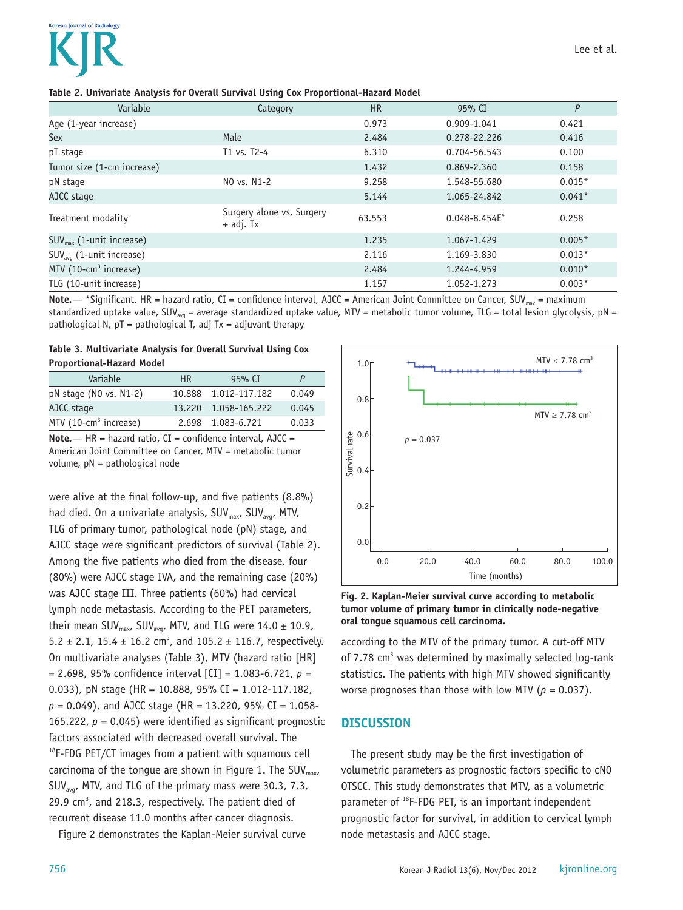| Variable                             | Category                               | <b>HR</b> | 95% CI             | P        |
|--------------------------------------|----------------------------------------|-----------|--------------------|----------|
| Age (1-year increase)                |                                        | 0.973     | 0.909-1.041        | 0.421    |
| Sex                                  | Male                                   | 2.484     | 0.278-22.226       | 0.416    |
| pT stage                             | T1 vs. T2-4                            | 6.310     | 0.704-56.543       | 0.100    |
| Tumor size (1-cm increase)           |                                        | 1.432     | 0.869-2.360        | 0.158    |
| pN stage                             | NO vs. N1-2                            | 9.258     | 1.548-55.680       | $0.015*$ |
| AJCC stage                           |                                        | 5.144     | 1.065-24.842       | $0.041*$ |
| Treatment modality                   | Surgery alone vs. Surgery<br>+ adj. Tx | 63.553    | $0.048 - 8.454E^4$ | 0.258    |
| $SUV_{\text{max}}$ (1-unit increase) |                                        | 1.235     | 1.067-1.429        | $0.005*$ |
| SUV <sub>avq</sub> (1-unit increase) |                                        | 2.116     | 1.169-3.830        | $0.013*$ |
| MTV $(10$ -cm <sup>3</sup> increase) |                                        | 2.484     | 1.244-4.959        | $0.010*$ |
| TLG (10-unit increase)               |                                        | 1.157     | 1.052-1.273        | $0.003*$ |

**Note.**— \*Significant. HR = hazard ratio, CI = confidence interval, AJCC = American Joint Committee on Cancer, SUV<sub>max</sub> = maximum standardized uptake value, SUV<sub>avg</sub> = average standardized uptake value, MTV = metabolic tumor volume, TLG = total lesion glycolysis, pN = pathological N,  $pT =$  pathological T, adj Tx = adjuvant therapy

**Table 3. Multivariate Analysis for Overall Survival Using Cox Proportional-Hazard Model**

| Variable                 | HR. | 95% CT               | P     |
|--------------------------|-----|----------------------|-------|
| $pN$ stage (NO vs. N1-2) |     | 10.888 1.012-117.182 | 0.049 |
| AJCC stage               |     | 13.220 1.058-165.222 | 0.045 |
| MTV $(10-cm3$ increase)  |     | 2.698 1.083-6.721    | 0.033 |

**Note.**— HR = hazard ratio, CI = confidence interval, AJCC = American Joint Committee on Cancer, MTV = metabolic tumor volume, pN = pathological node

were alive at the final follow-up, and five patients (8.8%) had died. On a univariate analysis,  $SUV_{max}$ ,  $SUV_{av}$ , MTV, TLG of primary tumor, pathological node (pN) stage, and AJCC stage were significant predictors of survival (Table 2). Among the five patients who died from the disease, four (80%) were AJCC stage IVA, and the remaining case (20%) was AJCC stage III. Three patients (60%) had cervical lymph node metastasis. According to the PET parameters, their mean SUV<sub>max</sub>, SUV<sub>avg</sub>, MTV, and TLG were  $14.0 \pm 10.9$ ,  $5.2 \pm 2.1$ ,  $15.4 \pm 16.2$  cm<sup>3</sup>, and  $105.2 \pm 116.7$ , respectively. On multivariate analyses (Table 3), MTV (hazard ratio [HR] = 2.698, 95% confidence interval [CI] = 1.083-6.721, *p* = 0.033), pN stage (HR = 10.888, 95% CI = 1.012-117.182, *p* = 0.049), and AJCC stage (HR = 13.220, 95% CI = 1.058- 165.222,  $p = 0.045$ ) were identified as significant prognostic factors associated with decreased overall survival. The  $18$ F-FDG PET/CT images from a patient with squamous cell carcinoma of the tongue are shown in Figure 1. The SUV $_{max}$ , SUV<sub>ava</sub>, MTV, and TLG of the primary mass were 30.3, 7.3, 29.9  $cm<sup>3</sup>$ , and 218.3, respectively. The patient died of recurrent disease 11.0 months after cancer diagnosis.

Figure 2 demonstrates the Kaplan-Meier survival curve



#### **Fig. 2. Kaplan-Meier survival curve according to metabolic tumor volume of primary tumor in clinically node-negative oral tongue squamous cell carcinoma.**

according to the MTV of the primary tumor. A cut-off MTV of 7.78 cm<sup>3</sup> was determined by maximally selected log-rank statistics. The patients with high MTV showed significantly worse prognoses than those with low MTV ( $p = 0.037$ ).

#### **DISCUSSION**

The present study may be the first investigation of volumetric parameters as prognostic factors specific to cN0 OTSCC. This study demonstrates that MTV, as a volumetric parameter of 18F-FDG PET, is an important independent prognostic factor for survival, in addition to cervical lymph node metastasis and AJCC stage.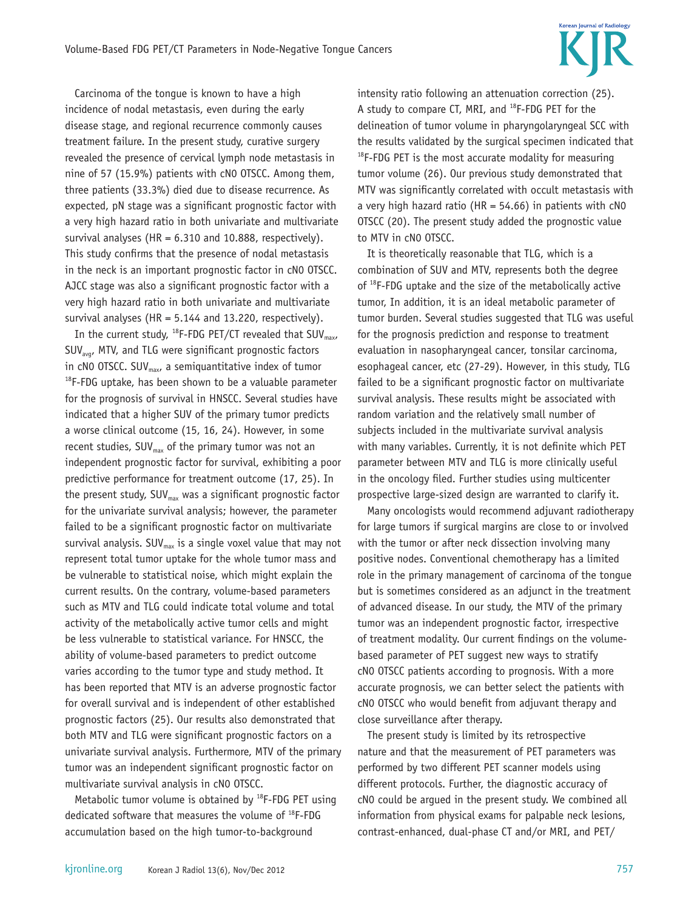Carcinoma of the tongue is known to have a high incidence of nodal metastasis, even during the early disease stage, and regional recurrence commonly causes treatment failure. In the present study, curative surgery revealed the presence of cervical lymph node metastasis in nine of 57 (15.9%) patients with cN0 OTSCC. Among them, three patients (33.3%) died due to disease recurrence. As expected, pN stage was a significant prognostic factor with a very high hazard ratio in both univariate and multivariate survival analyses (HR =  $6.310$  and 10.888, respectively). This study confirms that the presence of nodal metastasis in the neck is an important prognostic factor in cN0 OTSCC. AJCC stage was also a significant prognostic factor with a very high hazard ratio in both univariate and multivariate survival analyses (HR =  $5.144$  and 13.220, respectively).

In the current study,  $^{18}$ F-FDG PET/CT revealed that SUV<sub>max</sub>,  $SUV_{avat}$  MTV, and TLG were significant prognostic factors in cN0 OTSCC. SUV<sub>max</sub>, a semiquantitative index of tumor  $18F-FDG$  uptake, has been shown to be a valuable parameter for the prognosis of survival in HNSCC. Several studies have indicated that a higher SUV of the primary tumor predicts a worse clinical outcome (15, 16, 24). However, in some recent studies,  $SUV_{max}$  of the primary tumor was not an independent prognostic factor for survival, exhibiting a poor predictive performance for treatment outcome (17, 25). In the present study,  $SUV_{max}$  was a significant prognostic factor for the univariate survival analysis; however, the parameter failed to be a significant prognostic factor on multivariate survival analysis.  $SUV_{max}$  is a single voxel value that may not represent total tumor uptake for the whole tumor mass and be vulnerable to statistical noise, which might explain the current results. On the contrary, volume-based parameters such as MTV and TLG could indicate total volume and total activity of the metabolically active tumor cells and might be less vulnerable to statistical variance. For HNSCC, the ability of volume-based parameters to predict outcome varies according to the tumor type and study method. It has been reported that MTV is an adverse prognostic factor for overall survival and is independent of other established prognostic factors (25). Our results also demonstrated that both MTV and TLG were significant prognostic factors on a univariate survival analysis. Furthermore, MTV of the primary tumor was an independent significant prognostic factor on multivariate survival analysis in cN0 OTSCC.

Metabolic tumor volume is obtained by  $^{18}$ F-FDG PET using dedicated software that measures the volume of  $^{18}$ F-FDG accumulation based on the high tumor-to-background

intensity ratio following an attenuation correction (25). A study to compare CT, MRI, and 18F-FDG PET for the delineation of tumor volume in pharyngolaryngeal SCC with the results validated by the surgical specimen indicated that  $18$ F-FDG PET is the most accurate modality for measuring tumor volume (26). Our previous study demonstrated that MTV was significantly correlated with occult metastasis with a very high hazard ratio (HR =  $54.66$ ) in patients with  $CNO$ OTSCC (20). The present study added the prognostic value to MTV in cN0 OTSCC.

It is theoretically reasonable that TLG, which is a combination of SUV and MTV, represents both the degree of 18F-FDG uptake and the size of the metabolically active tumor, In addition, it is an ideal metabolic parameter of tumor burden. Several studies suggested that TLG was useful for the prognosis prediction and response to treatment evaluation in nasopharyngeal cancer, tonsilar carcinoma, esophageal cancer, etc (27-29). However, in this study, TLG failed to be a significant prognostic factor on multivariate survival analysis. These results might be associated with random variation and the relatively small number of subjects included in the multivariate survival analysis with many variables. Currently, it is not definite which PET parameter between MTV and TLG is more clinically useful in the oncology filed. Further studies using multicenter prospective large-sized design are warranted to clarify it.

Many oncologists would recommend adjuvant radiotherapy for large tumors if surgical margins are close to or involved with the tumor or after neck dissection involving many positive nodes. Conventional chemotherapy has a limited role in the primary management of carcinoma of the tongue but is sometimes considered as an adjunct in the treatment of advanced disease. In our study, the MTV of the primary tumor was an independent prognostic factor, irrespective of treatment modality. Our current findings on the volumebased parameter of PET suggest new ways to stratify cN0 OTSCC patients according to prognosis. With a more accurate prognosis, we can better select the patients with cN0 OTSCC who would benefit from adjuvant therapy and close surveillance after therapy.

The present study is limited by its retrospective nature and that the measurement of PET parameters was performed by two different PET scanner models using different protocols. Further, the diagnostic accuracy of cN0 could be argued in the present study. We combined all information from physical exams for palpable neck lesions, contrast-enhanced, dual-phase CT and/or MRI, and PET/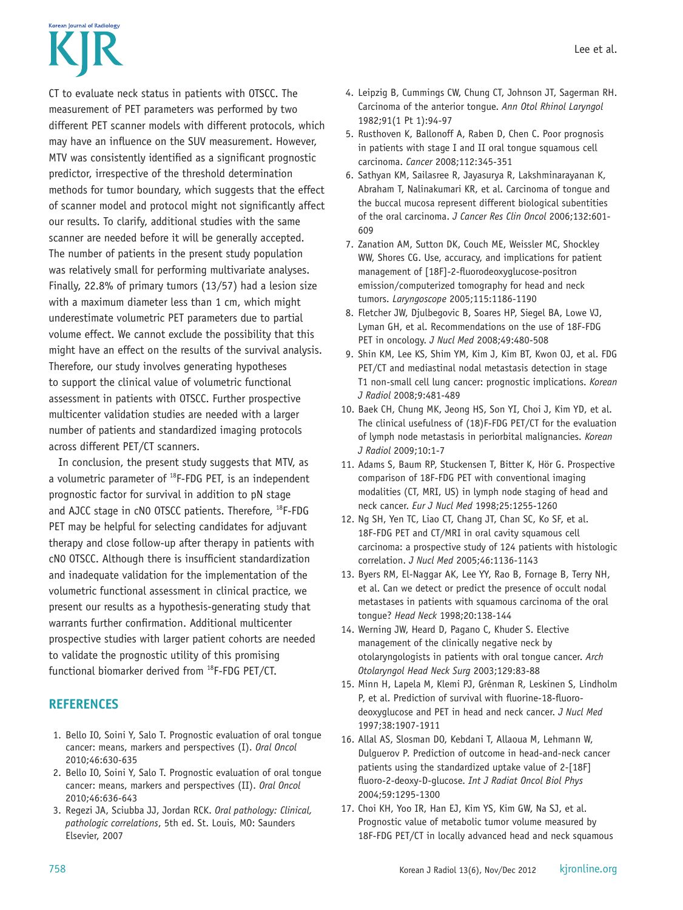# **Korean Journal of Radiology**

CT to evaluate neck status in patients with OTSCC. The measurement of PET parameters was performed by two different PET scanner models with different protocols, which may have an influence on the SUV measurement. However, MTV was consistently identified as a significant prognostic predictor, irrespective of the threshold determination methods for tumor boundary, which suggests that the effect of scanner model and protocol might not significantly affect our results. To clarify, additional studies with the same scanner are needed before it will be generally accepted. The number of patients in the present study population was relatively small for performing multivariate analyses. Finally, 22.8% of primary tumors (13/57) had a lesion size with a maximum diameter less than 1 cm, which might underestimate volumetric PET parameters due to partial volume effect. We cannot exclude the possibility that this might have an effect on the results of the survival analysis. Therefore, our study involves generating hypotheses to support the clinical value of volumetric functional assessment in patients with OTSCC. Further prospective multicenter validation studies are needed with a larger number of patients and standardized imaging protocols across different PET/CT scanners.

In conclusion, the present study suggests that MTV, as a volumetric parameter of <sup>18</sup>F-FDG PET, is an independent prognostic factor for survival in addition to pN stage and AJCC stage in cN0 OTSCC patients. Therefore, 18F-FDG PET may be helpful for selecting candidates for adjuvant therapy and close follow-up after therapy in patients with cN0 OTSCC. Although there is insufficient standardization and inadequate validation for the implementation of the volumetric functional assessment in clinical practice, we present our results as a hypothesis-generating study that warrants further confirmation. Additional multicenter prospective studies with larger patient cohorts are needed to validate the prognostic utility of this promising functional biomarker derived from 18F-FDG PET/CT.

### **REFERENCES**

- 1. Bello IO, Soini Y, Salo T. Prognostic evaluation of oral tongue cancer: means, markers and perspectives (I). *Oral Oncol* 2010;46:630-635
- 2. Bello IO, Soini Y, Salo T. Prognostic evaluation of oral tongue cancer: means, markers and perspectives (II). *Oral Oncol* 2010;46:636-643
- 3. Regezi JA, Sciubba JJ, Jordan RCK. *Oral pathology: Clinical, pathologic correlations*, 5th ed. St. Louis, MO: Saunders Elsevier, 2007
- 4. Leipzig B, Cummings CW, Chung CT, Johnson JT, Sagerman RH. Carcinoma of the anterior tongue. *Ann Otol Rhinol Laryngol* 1982;91(1 Pt 1):94-97
- 5. Rusthoven K, Ballonoff A, Raben D, Chen C. Poor prognosis in patients with stage I and II oral tongue squamous cell carcinoma. *Cancer* 2008;112:345-351
- 6. Sathyan KM, Sailasree R, Jayasurya R, Lakshminarayanan K, Abraham T, Nalinakumari KR, et al. Carcinoma of tongue and the buccal mucosa represent different biological subentities of the oral carcinoma. *J Cancer Res Clin Oncol* 2006;132:601-  $609$
- 7. Zanation AM, Sutton DK, Couch ME, Weissler MC, Shockley WW, Shores CG. Use, accuracy, and implications for patient management of [18F]-2-fluorodeoxyglucose-positron emission/computerized tomography for head and neck tumors. *Laryngoscope* 2005;115:1186-1190
- 8. Fletcher JW, Djulbegovic B, Soares HP, Siegel BA, Lowe VJ, Lyman GH, et al. Recommendations on the use of 18F-FDG PET in oncology. *J Nucl Med* 2008;49:480-508
- 9. Shin KM, Lee KS, Shim YM, Kim J, Kim BT, Kwon OJ, et al. FDG PET/CT and mediastinal nodal metastasis detection in stage T1 non-small cell lung cancer: prognostic implications. *Korean J Radiol* 2008;9:481-489
- 10. Baek CH, Chung MK, Jeong HS, Son YI, Choi J, Kim YD, et al. The clinical usefulness of (18)F-FDG PET/CT for the evaluation of lymph node metastasis in periorbital malignancies. *Korean J Radiol* 2009;10:1-7
- 11. Adams S, Baum RP, Stuckensen T, Bitter K, Hör G. Prospective comparison of 18F-FDG PET with conventional imaging modalities (CT, MRI, US) in lymph node staging of head and neck cancer. *Eur J Nucl Med* 1998;25:1255-1260
- 12. Ng SH, Yen TC, Liao CT, Chang JT, Chan SC, Ko SF, et al. 18F-FDG PET and CT/MRI in oral cavity squamous cell carcinoma: a prospective study of 124 patients with histologic correlation. *J Nucl Med* 2005;46:1136-1143
- 13. Byers RM, El-Naggar AK, Lee YY, Rao B, Fornage B, Terry NH, et al. Can we detect or predict the presence of occult nodal metastases in patients with squamous carcinoma of the oral tongue? *Head Neck* 1998;20:138-144
- 14. Werning JW, Heard D, Pagano C, Khuder S. Elective management of the clinically negative neck by otolaryngologists in patients with oral tongue cancer. *Arch Otolaryngol Head Neck Surg* 2003;129:83-88
- 15. Minn H, Lapela M, Klemi PJ, Grénman R, Leskinen S, Lindholm P, et al. Prediction of survival with fluorine-18-fluorodeoxyglucose and PET in head and neck cancer. *J Nucl Med* 1997;38:1907-1911
- 16. Allal AS, Slosman DO, Kebdani T, Allaoua M, Lehmann W, Dulguerov P. Prediction of outcome in head-and-neck cancer patients using the standardized uptake value of 2-[18F] fluoro-2-deoxy-D-glucose. *Int J Radiat Oncol Biol Phys* 2004;59:1295-1300
- 17. Choi KH, Yoo IR, Han EJ, Kim YS, Kim GW, Na SJ, et al. Prognostic value of metabolic tumor volume measured by 18F-FDG PET/CT in locally advanced head and neck squamous